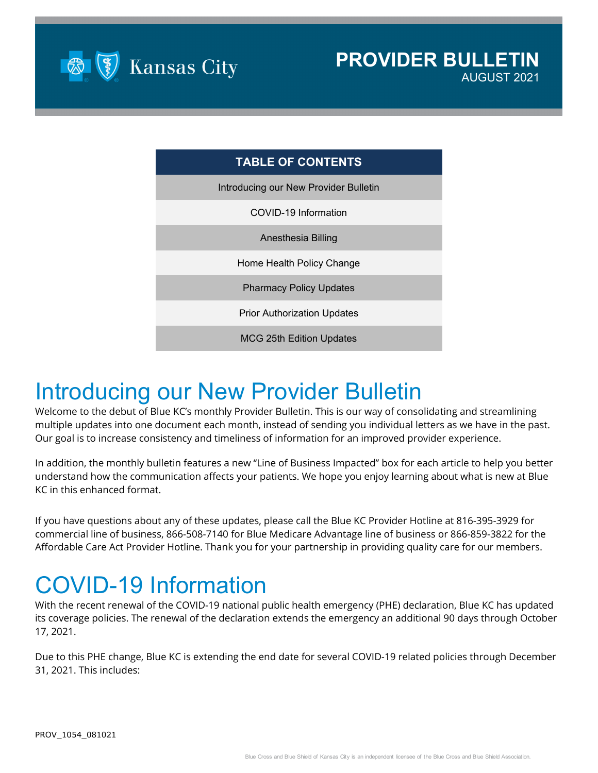

| <b>TABLE OF CONTENTS</b>              |  |
|---------------------------------------|--|
| Introducing our New Provider Bulletin |  |
| COVID-19 Information                  |  |
| Anesthesia Billing                    |  |
| Home Health Policy Change             |  |
| <b>Pharmacy Policy Updates</b>        |  |
| <b>Prior Authorization Updates</b>    |  |
| <b>MCG 25th Edition Updates</b>       |  |

### Introducing our New Provider Bulletin

Welcome to the debut of Blue KC's monthly Provider Bulletin. This is our way of consolidating and streamlining multiple updates into one document each month, instead of sending you individual letters as we have in the past. Our goal is to increase consistency and timeliness of information for an improved provider experience.

In addition, the monthly bulletin features a new "Line of Business Impacted" box for each article to help you better understand how the communication affects your patients. We hope you enjoy learning about what is new at Blue KC in this enhanced format.

If you have questions about any of these updates, please call the Blue KC Provider Hotline at 816-395-3929 for commercial line of business, 866-508-7140 for Blue Medicare Advantage line of business or 866-859-3822 for the Affordable Care Act Provider Hotline. Thank you for your partnership in providing quality care for our members.

# COVID-19 Information

With the recent renewal of the COVID-19 national public health emergency (PHE) declaration, Blue KC has updated its coverage policies. The renewal of the declaration extends the emergency an additional 90 days through October 17, 2021.

Due to this PHE change, Blue KC is extending the end date for several COVID-19 related policies through December 31, 2021. This includes: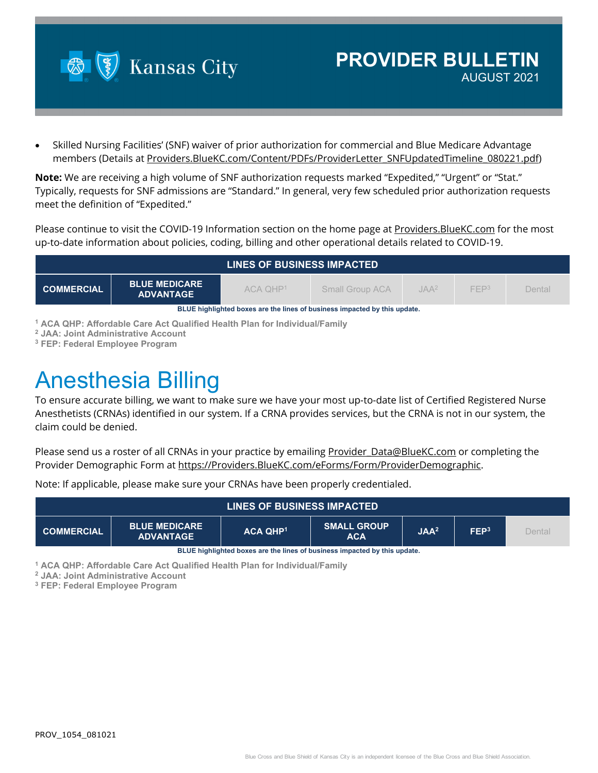

• Skilled Nursing Facilities' (SNF) waiver of prior authorization for commercial and Blue Medicare Advantage members (Details at [Providers.BlueKC.com/Content/PDFs/ProviderLetter\\_SNFUpdatedTimeline\\_080221.pdf\)](https://providers.bluekc.com/Content/PDFs/ProviderLetter_SNFUpdatedTimeline_080221.pdf)

**Note:** We are receiving a high volume of SNF authorization requests marked "Expedited," "Urgent" or "Stat." Typically, requests for SNF admissions are "Standard." In general, very few scheduled prior authorization requests meet the definition of "Expedited."

Please continue to visit the COVID-19 Information section on the home page at [Providers.BlueKC.com](https://providers.bluekc.com/Home/ProviderHome) for the most up-to-date information about policies, coding, billing and other operational details related to COVID-19.

| <b>LINES OF BUSINESS IMPACTED</b>                                         |                                          |              |                        |         |                  |        |  |
|---------------------------------------------------------------------------|------------------------------------------|--------------|------------------------|---------|------------------|--------|--|
| <b>COMMERCIAL</b>                                                         | <b>BLUE MEDICARE</b><br><b>ADVANTAGE</b> | $ACA$ $OHP1$ | <b>Small Group ACA</b> | $IAA^2$ | FFP <sup>3</sup> | Dental |  |
| BLUE highlighted boxes are the lines of business impacted by this update. |                                          |              |                        |         |                  |        |  |

**<sup>1</sup> ACA QHP: Affordable Care Act Qualified Health Plan for Individual/Family**

**<sup>2</sup> JAA: Joint Administrative Account**

**<sup>3</sup> FEP: Federal Employee Program**

## Anesthesia Billing

To ensure accurate billing, we want to make sure we have your most up-to-date list of Certified Registered Nurse Anesthetists (CRNAs) identified in our system. If a CRNA provides services, but the CRNA is not in our system, the claim could be denied.

Please send us a roster of all CRNAs in your practice by emailing [Provider\\_Data@BlueKC.com](mailto:Provider_Data@BlueKC.com) or completing the Provider Demographic Form at [https://Providers.BlueKC.com/eForms/Form/ProviderDemographic.](https://providers.bluekc.com/eForms/Form/ProviderDemographic)

Note: If applicable, please make sure your CRNAs have been properly credentialed.

| <b>LINES OF BUSINESS IMPACTED</b> |                                          |                 |                                  |                  |                  |        |
|-----------------------------------|------------------------------------------|-----------------|----------------------------------|------------------|------------------|--------|
| <b>COMMERCIAL</b>                 | <b>BLUE MEDICARE</b><br><b>ADVANTAGE</b> | <b>ACA QHP1</b> | <b>SMALL GROUP</b><br><b>ACA</b> | JAA <sup>2</sup> | FEP <sup>3</sup> | Dental |

**BLUE highlighted boxes are the lines of business impacted by this update.**

**<sup>1</sup> ACA QHP: Affordable Care Act Qualified Health Plan for Individual/Family**

**<sup>2</sup> JAA: Joint Administrative Account**

**<sup>3</sup> FEP: Federal Employee Program**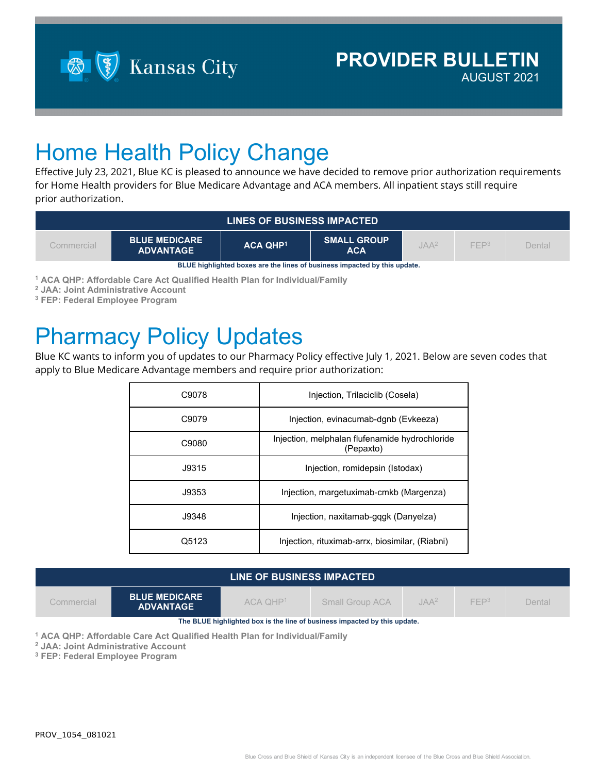

### Home Health Policy Change

Effective July 23, 2021, Blue KC is pleased to announce we have decided to remove prior authorization requirements for Home Health providers for Blue Medicare Advantage and ACA members. All inpatient stays still require prior authorization.

| <b>LINES OF BUSINESS IMPACTED</b>                                         |                                          |                 |                                  |                  |                  |        |  |
|---------------------------------------------------------------------------|------------------------------------------|-----------------|----------------------------------|------------------|------------------|--------|--|
| Commercial                                                                | <b>BLUE MEDICARE</b><br><b>ADVANTAGE</b> | <b>ACA QHP1</b> | <b>SMALL GROUP</b><br><b>ACA</b> | JAA <sup>2</sup> | FFP <sup>3</sup> | Dental |  |
| BLUE highlighted boxes are the lines of business impacted by this update. |                                          |                 |                                  |                  |                  |        |  |

**<sup>1</sup> ACA QHP: Affordable Care Act Qualified Health Plan for Individual/Family**

**<sup>2</sup> JAA: Joint Administrative Account**

**<sup>3</sup> FEP: Federal Employee Program**

#### Pharmacy Policy Updates

Blue KC wants to inform you of updates to our Pharmacy Policy effective July 1, 2021. Below are seven codes that apply to Blue Medicare Advantage members and require prior authorization:

| C9078 | Injection, Trilaciclib (Cosela)                             |
|-------|-------------------------------------------------------------|
| C9079 | Injection, evinacumab-dgnb (Evkeeza)                        |
| C9080 | Injection, melphalan flufenamide hydrochloride<br>(Pepaxto) |
| J9315 | Injection, romidepsin (Istodax)                             |
| J9353 | Injection, margetuximab-cmkb (Margenza)                     |
| J9348 | Injection, naxitamab-gqgk (Danyelza)                        |
| Q5123 | Injection, rituximab-arrx, biosimilar, (Riabni)             |

| LINE OF BUSINESS IMPACTED                                                 |                                          |              |                        |                  |                  |        |  |
|---------------------------------------------------------------------------|------------------------------------------|--------------|------------------------|------------------|------------------|--------|--|
| Commercial                                                                | <b>BLUE MEDICARE</b><br><b>ADVANTAGE</b> | $ACA$ $OHP1$ | <b>Small Group ACA</b> | JAA <sup>2</sup> | FFP <sup>3</sup> | Dental |  |
| The BLUE highlighted box is the line of business impacted by this update. |                                          |              |                        |                  |                  |        |  |

**<sup>1</sup> ACA QHP: Affordable Care Act Qualified Health Plan for Individual/Family**

**<sup>2</sup> JAA: Joint Administrative Account**

**<sup>3</sup> FEP: Federal Employee Program**